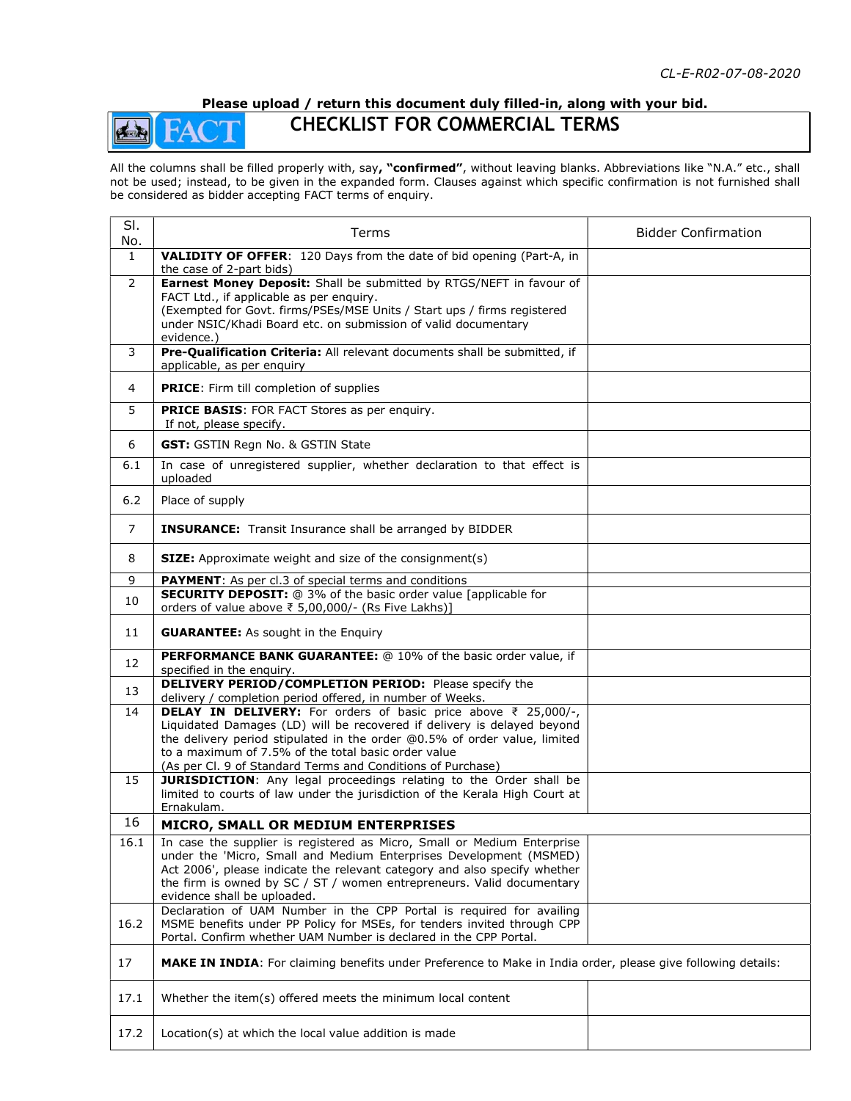## Please upload / return this document duly filled-in, along with your bid.

## CHECKLIST FOR COMMERCIAL TERMS

de

All the columns shall be filled properly with, say, "confirmed", without leaving blanks. Abbreviations like "N.A." etc., shall not be used; instead, to be given in the expanded form. Clauses against which specific confirmation is not furnished shall be considered as bidder accepting FACT terms of enquiry.

| SI.<br>No.     | Terms                                                                                                                                                                                                                                                                                                                                        | <b>Bidder Confirmation</b> |
|----------------|----------------------------------------------------------------------------------------------------------------------------------------------------------------------------------------------------------------------------------------------------------------------------------------------------------------------------------------------|----------------------------|
| $\mathbf{1}$   | VALIDITY OF OFFER: 120 Days from the date of bid opening (Part-A, in<br>the case of 2-part bids)                                                                                                                                                                                                                                             |                            |
| $\overline{2}$ | Earnest Money Deposit: Shall be submitted by RTGS/NEFT in favour of<br>FACT Ltd., if applicable as per enquiry.<br>(Exempted for Govt. firms/PSEs/MSE Units / Start ups / firms registered<br>under NSIC/Khadi Board etc. on submission of valid documentary<br>evidence.)                                                                   |                            |
| 3              | Pre-Qualification Criteria: All relevant documents shall be submitted, if<br>applicable, as per enquiry                                                                                                                                                                                                                                      |                            |
| 4              | <b>PRICE:</b> Firm till completion of supplies                                                                                                                                                                                                                                                                                               |                            |
| 5              | PRICE BASIS: FOR FACT Stores as per enquiry.<br>If not, please specify.                                                                                                                                                                                                                                                                      |                            |
| 6              | <b>GST: GSTIN Regn No. &amp; GSTIN State</b>                                                                                                                                                                                                                                                                                                 |                            |
| 6.1            | In case of unregistered supplier, whether declaration to that effect is<br>uploaded                                                                                                                                                                                                                                                          |                            |
| $6.2$          | Place of supply                                                                                                                                                                                                                                                                                                                              |                            |
| $\overline{7}$ | <b>INSURANCE:</b> Transit Insurance shall be arranged by BIDDER                                                                                                                                                                                                                                                                              |                            |
| 8              | <b>SIZE:</b> Approximate weight and size of the consignment(s)                                                                                                                                                                                                                                                                               |                            |
| 9              | <b>PAYMENT:</b> As per cl.3 of special terms and conditions                                                                                                                                                                                                                                                                                  |                            |
| 10             | <b>SECURITY DEPOSIT:</b> @ 3% of the basic order value [applicable for<br>orders of value above ₹ 5,00,000/- (Rs Five Lakhs)]                                                                                                                                                                                                                |                            |
| 11             | <b>GUARANTEE:</b> As sought in the Enquiry                                                                                                                                                                                                                                                                                                   |                            |
| 12             | PERFORMANCE BANK GUARANTEE: @ 10% of the basic order value, if<br>specified in the enquiry.                                                                                                                                                                                                                                                  |                            |
| 13             | DELIVERY PERIOD/COMPLETION PERIOD: Please specify the<br>delivery / completion period offered, in number of Weeks.                                                                                                                                                                                                                           |                            |
| 14             | DELAY IN DELIVERY: For orders of basic price above ₹ 25,000/-,<br>Liquidated Damages (LD) will be recovered if delivery is delayed beyond<br>the delivery period stipulated in the order @0.5% of order value, limited<br>to a maximum of 7.5% of the total basic order value<br>(As per Cl. 9 of Standard Terms and Conditions of Purchase) |                            |
| 15             | JURISDICTION: Any legal proceedings relating to the Order shall be<br>limited to courts of law under the jurisdiction of the Kerala High Court at<br>Ernakulam.                                                                                                                                                                              |                            |
| 16             | MICRO, SMALL OR MEDIUM ENTERPRISES                                                                                                                                                                                                                                                                                                           |                            |
| 16.1           | In case the supplier is registered as Micro, Small or Medium Enterprise<br>under the 'Micro, Small and Medium Enterprises Development (MSMED)<br>Act 2006', please indicate the relevant category and also specify whether<br>the firm is owned by SC / ST / women entrepreneurs. Valid documentary<br>evidence shall be uploaded.           |                            |
| 16.2           | Declaration of UAM Number in the CPP Portal is required for availing<br>MSME benefits under PP Policy for MSEs, for tenders invited through CPP<br>Portal. Confirm whether UAM Number is declared in the CPP Portal.                                                                                                                         |                            |
| 17             | MAKE IN INDIA: For claiming benefits under Preference to Make in India order, please give following details:                                                                                                                                                                                                                                 |                            |
| 17.1           | Whether the item(s) offered meets the minimum local content                                                                                                                                                                                                                                                                                  |                            |
| 17.2           | Location(s) at which the local value addition is made                                                                                                                                                                                                                                                                                        |                            |